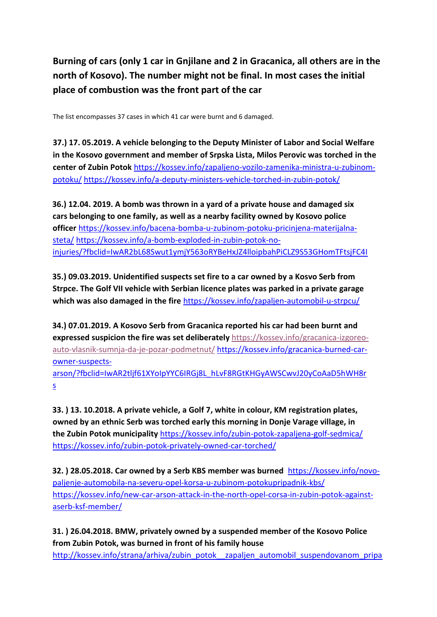**Burning of cars (only 1 car in Gnjilane and 2 in Gracanica, all others are in the north of Kosovo). The number might not be final. In most cases the initial place of combustion was the front part of the car** 

The list encompasses 37 cases in which 41 car were burnt and 6 damaged.

**37.) 17. 05.2019. A vehicle belonging to the Deputy Minister of Labor and Social Welfare in the Kosovo government and member of Srpska Lista, Milos Perovic was torched in the center of Zubin Potok** [https://kossev.info/zapaljeno-vozilo-zamenika-ministra-u-zubinom](https://kossev.info/zapaljeno-vozilo-zamenika-ministra-u-zubinom-potoku/)[potoku/](https://kossev.info/zapaljeno-vozilo-zamenika-ministra-u-zubinom-potoku/) <https://kossev.info/a-deputy-ministers-vehicle-torched-in-zubin-potok/>

**36.) 12.04. 2019. A bomb was thrown in a yard of a private house and damaged six cars belonging to one family, as well as a nearby facility owned by Kosovo police officer** [https://kossev.info/bacena-bomba-u-zubinom-potoku-pricinjena-materijalna](https://kossev.info/bacena-bomba-u-zubinom-potoku-pricinjena-materijalna-steta/)[steta/](https://kossev.info/bacena-bomba-u-zubinom-potoku-pricinjena-materijalna-steta/) [https://kossev.info/a-bomb-exploded-in-zubin-potok-no](https://kossev.info/a-bomb-exploded-in-zubin-potok-no-injuries/?fbclid=IwAR2bL68Swut1ymjY563oRYBeHxJZ4lloipbahPiCLZ9S53GHomTFtsjFC4I)[injuries/?fbclid=IwAR2bL68Swut1ymjY563oRYBeHxJZ4lloipbahPiCLZ9S53GHomTFtsjFC4I](https://kossev.info/a-bomb-exploded-in-zubin-potok-no-injuries/?fbclid=IwAR2bL68Swut1ymjY563oRYBeHxJZ4lloipbahPiCLZ9S53GHomTFtsjFC4I)

**35.) 09.03.2019. Unidentified suspects set fire to a car owned by a Kosvo Serb from Strpce. The Golf VII vehicle with Serbian licence plates was parked in a private garage which was also damaged in the fire** <https://kossev.info/zapaljen-automobil-u-strpcu/>

**34.) 07.01.2019. A Kosovo Serb from Gracanica reported his car had been burnt and expressed suspicion the fire was set deliberately** [https://kossev.info/gracanica-izgoreo](https://kossev.info/gracanica-izgoreo-auto-vlasnik-sumnja-da-je-pozar-podmetnut/)[auto-vlasnik-sumnja-da-je-pozar-podmetnut/](https://kossev.info/gracanica-izgoreo-auto-vlasnik-sumnja-da-je-pozar-podmetnut/) [https://kossev.info/gracanica-burned-car](https://kossev.info/gracanica-burned-car-owner-suspects-arson/?fbclid=IwAR2tljf61XYoIpYYC6IRGj8L_hLvF8RGtKHGyAWSCwvJ20yCoAaD5hWH8rs)[owner-suspects](https://kossev.info/gracanica-burned-car-owner-suspects-arson/?fbclid=IwAR2tljf61XYoIpYYC6IRGj8L_hLvF8RGtKHGyAWSCwvJ20yCoAaD5hWH8rs)[arson/?fbclid=IwAR2tljf61XYoIpYYC6IRGj8L\\_hLvF8RGtKHGyAWSCwvJ20yCoAaD5hWH8r](https://kossev.info/gracanica-burned-car-owner-suspects-arson/?fbclid=IwAR2tljf61XYoIpYYC6IRGj8L_hLvF8RGtKHGyAWSCwvJ20yCoAaD5hWH8rs) [s](https://kossev.info/gracanica-burned-car-owner-suspects-arson/?fbclid=IwAR2tljf61XYoIpYYC6IRGj8L_hLvF8RGtKHGyAWSCwvJ20yCoAaD5hWH8rs)

**33. ) 13. 10.2018. A private vehicle, a Golf 7, white in colour, KM registration plates, owned by an ethnic Serb was torched early this morning in Donje Varage village, in the Zubin Potok municipality** <https://kossev.info/zubin-potok-zapaljena-golf-sedmica/> <https://kossev.info/zubin-potok-privately-owned-car-torched/>

**32. ) 28.05.2018. Car owned by a Serb KBS member was burned** [https://kossev.info/novo](https://kossev.info/novo-paljenje-automobila-na-severu-opel-korsa-u-zubinom-potoku-pripadnik-kbs/)[paljenje-automobila-na-severu-opel-korsa-u-zubinom-potokupripadnik-kbs/](https://kossev.info/novo-paljenje-automobila-na-severu-opel-korsa-u-zubinom-potoku-pripadnik-kbs/) [https://kossev.info/new-car-arson-attack-in-the-north-opel-corsa-in-zubin-potok-against](https://kossev.info/new-car-arson-attack-in-the-north-opel-corsa-in-zubin-potok-against-a-serb-ksf-member/)[aserb-ksf-member/](https://kossev.info/new-car-arson-attack-in-the-north-opel-corsa-in-zubin-potok-against-a-serb-ksf-member/)

**31. ) 26.04.2018. BMW, privately owned by a suspended member of the Kosovo Police from Zubin Potok, was burned in front of his family house**  http://kossev.info/strana/arhiva/zubin\_potok\_ zapaljen\_automobil\_suspendovanom\_pripa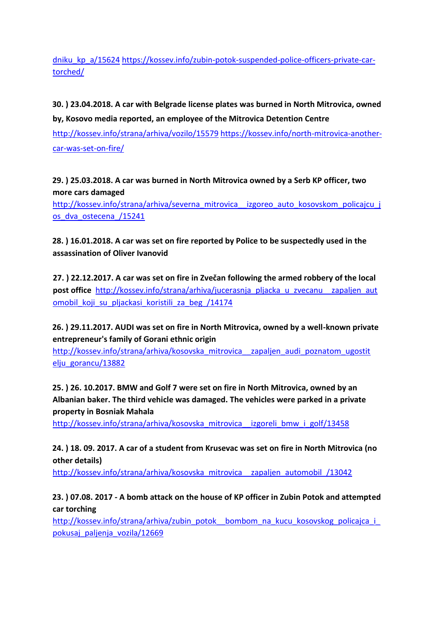# [dniku\\_kp\\_a/15624](http://kossev.info/strana/arhiva/zubin_potok__zapaljen_automobil_suspendovanom_pripadniku_kp_a/15624) [https://kossev.info/zubin-potok-suspended-police-officers-private-car](https://kossev.info/zubin-potok-suspended-police-officers-private-car-torched/)[torched/](https://kossev.info/zubin-potok-suspended-police-officers-private-car-torched/)

# **30. ) 23.04.2018. A car with Belgrade license plates was burned in North Mitrovica, owned by, Kosovo media reported, an employee of the Mitrovica Detention Centre**

<http://kossev.info/strana/arhiva/vozilo/15579> [https://kossev.info/north-mitrovica-another](https://kossev.info/north-mitrovica-another-car-was-set-on-fire/)[car-was-set-on-fire/](https://kossev.info/north-mitrovica-another-car-was-set-on-fire/)

**29. ) 25.03.2018. A car was burned in North Mitrovica owned by a Serb KP officer, two more cars damaged** 

http://kossev.info/strana/arhiva/severna\_mitrovica\_ izgoreo\_auto\_kosovskom\_policajcu\_j [os\\_dva\\_ostecena\\_/15241](http://kossev.info/strana/arhiva/severna_mitrovica__izgoreo_auto_kosovskom_policajcu_jos_dva_ostecena_/15241)

**28. ) 16.01.2018. A car was set on fire reported by Police to be suspectedly used in the assassination of Oliver Ivanovid** 

**27. ) 22.12.2017. A car was set on fire in Zvečan following the armed robbery of the local post office** http://kossev.info/strana/arhiva/jucerasnja pljacka u zvecanu zapaljen aut [omobil\\_koji\\_su\\_pljackasi\\_koristili\\_za\\_beg\\_/14174](http://kossev.info/strana/arhiva/jucerasnja_pljacka_u_zvecanu__zapaljen_aut%20omobil_koji_su_pljackasi_koristili_za_beg_/14174)

**26. ) 29.11.2017. AUDI was set on fire in North Mitrovica, owned by a well-known private entrepreneur's family of Gorani ethnic origin**

[http://kossev.info/strana/arhiva/kosovska\\_mitrovica\\_\\_zapaljen\\_audi\\_poznatom\\_ugostit](http://kossev.info/strana/arhiva/kosovska_mitrovica__zapaljen_audi_poznatom_ugostitelju_gorancu/13882)  [elju\\_gorancu/13882](http://kossev.info/strana/arhiva/kosovska_mitrovica__zapaljen_audi_poznatom_ugostitelju_gorancu/13882)

**25. ) 26. 10.2017. BMW and Golf 7 were set on fire in North Mitrovica, owned by an Albanian baker. The third vehicle was damaged. The vehicles were parked in a private property in Bosniak Mahala** 

http://kossev.info/strana/arhiva/kosovska mitrovica izgoreli bmw i golf/13458

**24. ) 18. 09. 2017. A car of a student from Krusevac was set on fire in North Mitrovica (no other details)** 

[http://kossev.info/strana/arhiva/kosovska\\_mitrovica\\_\\_zapaljen\\_automobil\\_/13042](http://kossev.info/strana/arhiva/kosovska_mitrovica__zapaljen_automobil_/13042)

**23. ) 07.08. 2017 - A bomb attack on the house of KP officer in Zubin Potok and attempted car torching**

http://kossev.info/strana/arhiva/zubin\_potok\_\_bombom\_na\_kucu\_kosovskog\_policajca\_i [pokusaj\\_paljenja\\_vozila/12669](http://kossev.info/strana/arhiva/zubin_potok__bombom_na_kucu_kosovskog_policajca_i_pokusaj_paljenja_vozila/12669)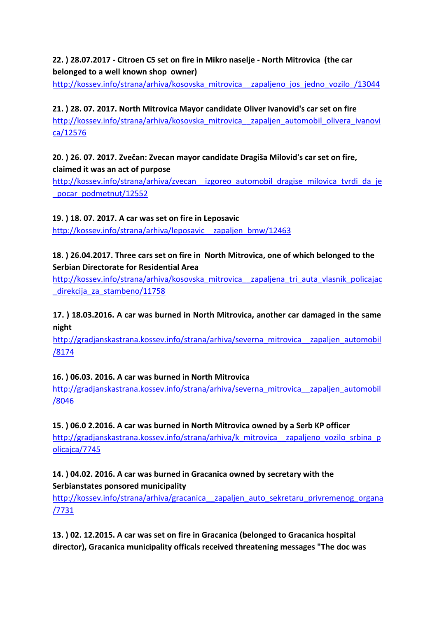### **22. ) 28.07.2017 - Citroen C5 set on fire in Mikro naselje - North Mitrovica (the car belonged to a well known shop owner)**

[http://kossev.info/strana/arhiva/kosovska\\_mitrovica\\_\\_zapaljeno\\_jos\\_jedno\\_vozilo\\_/13044](http://kossev.info/strana/arhiva/kosovska_mitrovica__zapaljeno_jos_jedno_vozilo_/13044)

**21. ) 28. 07. 2017. North Mitrovica Mayor candidate Oliver Ivanovid's car set on fire** [http://kossev.info/strana/arhiva/kosovska\\_mitrovica\\_\\_zapaljen\\_automobil\\_olivera\\_ivanovi](http://kossev.info/strana/arhiva/kosovska_mitrovica__zapaljen_automobil_olivera_ivanovica/12576)  [ca/12576](http://kossev.info/strana/arhiva/kosovska_mitrovica__zapaljen_automobil_olivera_ivanovica/12576)

**20. ) 26. 07. 2017. Zvečan: Zvecan mayor candidate Dragiša Milovid's car set on fire, claimed it was an act of purpose**

http://kossev.info/strana/arhiva/zvecan izgoreo automobil dragise milovica tvrdi da je [\\_pocar\\_podmetnut/12552](http://kossev.info/strana/arhiva/zvecan__izgoreo_automobil_dragise_milovica_tvrdi_da_je_pocar_podmetnut/12552)

**19. ) 18. 07. 2017. A car was set on fire in Leposavic**

http://kossev.info/strana/arhiva/leposavic zapaljen bmw/12463

**18. ) 26.04.2017. Three cars set on fire in North Mitrovica, one of which belonged to the Serbian Directorate for Residential Area** 

http://kossev.info/strana/arhiva/kosovska mitrovica zapaljena tri auta vlasnik policajac [\\_direkcija\\_za\\_stambeno/11758](http://kossev.info/strana/arhiva/kosovska_mitrovica__zapaljena_tri_auta_vlasnik_policajac_direkcija_za_stambeno/11758)

**17. ) 18.03.2016. A car was burned in North Mitrovica, another car damaged in the same night**

http://gradjanskastrana.kossev.info/strana/arhiva/severna\_mitrovica\_\_zapaljen\_automobil [/8174](http://gradjanskastrana.kossev.info/strana/arhiva/severna_mitrovica__zapaljen_automobil/8174)

#### **16. ) 06.03. 2016. A car was burned in North Mitrovica**

[http://gradjanskastrana.kossev.info/strana/arhiva/severna\\_mitrovica\\_\\_zapaljen\\_automobil](http://gradjanskastrana.kossev.info/strana/arhiva/severna_mitrovica__zapaljen_automobil/8046)  [/8046](http://gradjanskastrana.kossev.info/strana/arhiva/severna_mitrovica__zapaljen_automobil/8046)

**15. ) 06.0 2.2016. A car was burned in North Mitrovica owned by a Serb KP officer**  http://gradjanskastrana.kossev.info/strana/arhiva/k\_mitrovica\_\_zapaljeno\_vozilo\_srbina\_p [olicajca/7745](http://gradjanskastrana.kossev.info/strana/arhiva/k_mitrovica__zapaljeno_vozilo_srbina_policajca/7745)

### **14. ) 04.02. 2016. A car was burned in Gracanica owned by secretary with the Serbianstates ponsored municipality**

http://kossev.info/strana/arhiva/gracanica zapaljen auto sekretaru privremenog organa [/7731](http://kossev.info/strana/arhiva/gracanica__zapaljen_auto_sekretaru_privremenog_organa/7731)

**13. ) 02. 12.2015. A car was set on fire in Gracanica (belonged to Gracanica hospital director), Gracanica municipality officals received threatening messages "The doc was**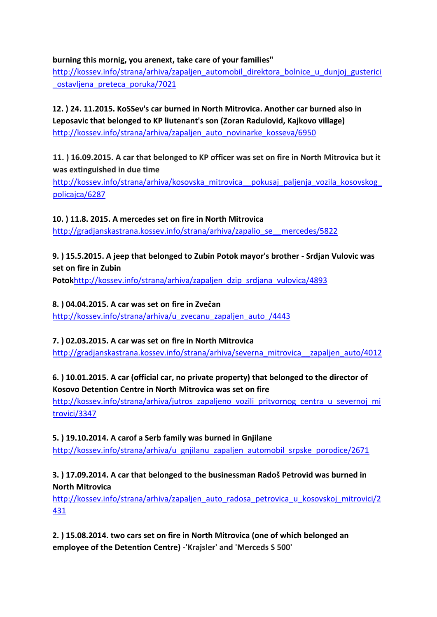#### **burning this mornig, you arenext, take care of your families"**

http://kossev.info/strana/arhiva/zapaljen\_automobil\_direktora\_bolnice\_u\_dunjoj\_gusterici [\\_ostavljena\\_preteca\\_poruka/7021](http://kossev.info/strana/arhiva/zapaljen_automobil_direktora_bolnice_u_dunjoj_gusterici_ostavljena_preteca_poruka/7021)

**12. ) 24. 11.2015. KoSSev's car burned in North Mitrovica. Another car burned also in Leposavic that belonged to KP liutenant's son (Zoran Radulovid, Kajkovo village)**  [http://kossev.info/strana/arhiva/zapaljen\\_auto\\_novinarke\\_kosseva/6950](http://kossev.info/strana/arhiva/zapaljen_auto_novinarke_kosseva/6950)

**11. ) 16.09.2015. A car that belonged to KP officer was set on fire in North Mitrovica but it was extinguished in due time** 

[http://kossev.info/strana/arhiva/kosovska\\_mitrovica\\_\\_pokusaj\\_paljenja\\_vozila\\_kosovskog\\_](http://kossev.info/strana/arhiva/kosovska_mitrovica__pokusaj_paljenja_vozila_kosovskog_policajca/6287)  [policajca/6287](http://kossev.info/strana/arhiva/kosovska_mitrovica__pokusaj_paljenja_vozila_kosovskog_policajca/6287)

**10. ) 11.8. 2015. A mercedes set on fire in North Mitrovica**  [http://gradjanskastrana.kossev.info/strana/arhiva/zapalio\\_se\\_\\_mercedes/5822](http://gradjanskastrana.kossev.info/strana/arhiva/zapalio_se__mercedes/5822)

**9. ) 15.5.2015. A jeep that belonged to Zubin Potok mayor's brother - Srdjan Vulovic was set on fire in Zubin** 

**Potok**[http://kossev.info/strana/arhiva/zapaljen\\_dzip\\_srdjana\\_vulovica/4893](http://kossev.info/strana/arhiva/zapaljen_dzip_srdjana_vulovica/4893)

#### **8. ) 04.04.2015. A car was set on fire in Zvečan**

http://kossev.info/strana/arhiva/u zvecanu zapaljen auto /4443

### **7. ) 02.03.2015. A car was set on fire in North Mitrovica**

[http://gradjanskastrana.kossev.info/strana/arhiva/severna\\_mitrovica\\_\\_zapaljen\\_auto/4012](http://gradjanskastrana.kossev.info/strana/arhiva/severna_mitrovica__zapaljen_auto/4012)

# **6. ) 10.01.2015. A car (official car, no private property) that belonged to the director of Kosovo Detention Centre in North Mitrovica was set on fire**

http://kossev.info/strana/arhiva/jutros\_zapaljeno\_vozili\_pritvornog\_centra\_u\_severnoj\_mi [trovici/3347](http://kossev.info/strana/arhiva/jutros_zapaljeno_vozili_pritvornog_centra_u_severnoj_mitrovici/3347)

#### **5. ) 19.10.2014. A carof a Serb family was burned in Gnjilane**

[http://kossev.info/strana/arhiva/u\\_gnjilanu\\_zapaljen\\_automobil\\_srpske\\_porodice/2671](http://kossev.info/strana/arhiva/u_gnjilanu_zapaljen_automobil_srpske_porodice/2671)

### **3. ) 17.09.2014. A car that belonged to the businessman Radoš Petrovid was burned in North Mitrovica**

http://kossev.info/strana/arhiva/zapaljen\_auto\_radosa\_petrovica\_u\_kosovskoj\_mitrovici/2 [431](http://kossev.info/strana/arhiva/zapaljen_auto_radosa_petrovica_u_kosovskoj_mitrovici/2431)

**2. ) 15.08.2014. two cars set on fire in North Mitrovica (one of which belonged an employee of the Detention Centre) -'Krajsler' and 'Merceds S 500'**